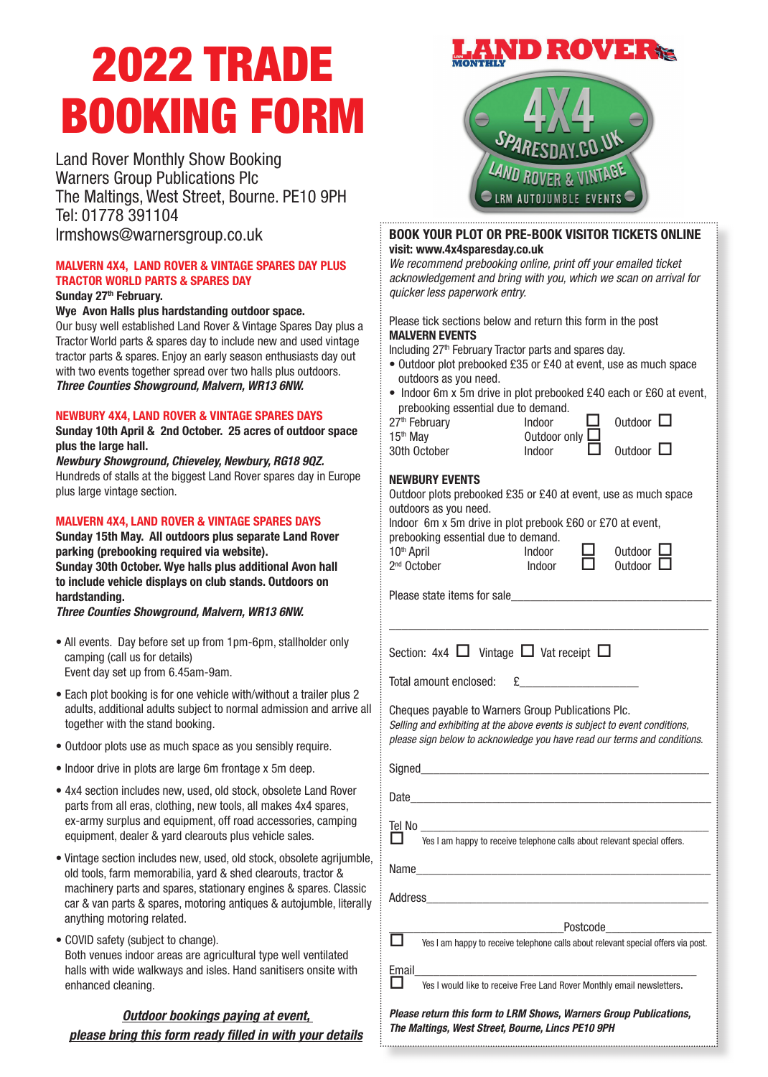# 2022 TRADE BOOKING FORM

Land Rover Monthly Show Booking Warners Group Publications Plc The Maltings, West Street, Bourne. PE10 9PH Tel: 01778 391104

# MALVERN 4X4, LAND ROVER & VINTAGE SPARES DAY PLUS TRACTOR WORLD PARTS & SPARES DAY

#### Sunday 27<sup>th</sup> February.

#### Wye Avon Halls plus hardstanding outdoor space.

Our busy well established Land Rover & Vintage Spares Day plus a Tractor World parts & spares day to include new and used vintage tractor parts & spares. Enjoy an early season enthusiasts day out with two events together spread over two halls plus outdoors. *Three Counties Showground, Malvern, WR13 6NW.*

#### NEWBURY 4X4, LAND ROVER & VINTAGE SPARES DAYS

Sunday 10th April & 2nd October. 25 acres of outdoor space plus the large hall.

*Newbury Showground, Chieveley, Newbury, RG18 9QZ.* Hundreds of stalls at the biggest Land Rover spares day in Europe plus large vintage section.

#### MALVERN 4X4, LAND ROVER & VINTAGE SPARES DAYS

Sunday 15th May. All outdoors plus separate Land Rover parking (prebooking required via website).

Sunday 30th October. Wye halls plus additional Avon hall to include vehicle displays on club stands. Outdoors on hardstanding.

*Three Counties Showground, Malvern, WR13 6NW.*

- All events. Day before set up from 1pm-6pm, stallholder only camping (call us for details) Event day set up from 6.45am-9am.
- Each plot booking is for one vehicle with/without a trailer plus 2 adults, additional adults subject to normal admission and arrive all together with the stand booking.
- Outdoor plots use as much space as you sensibly require.
- Indoor drive in plots are large 6m frontage x 5m deep.
- 4x4 section includes new, used, old stock, obsolete Land Rover parts from all eras, clothing, new tools, all makes 4x4 spares, ex-army surplus and equipment, off road accessories, camping equipment, dealer & yard clearouts plus vehicle sales.
- Vintage section includes new, used, old stock, obsolete agrijumble, old tools, farm memorabilia, yard & shed clearouts, tractor & machinery parts and spares, stationary engines & spares. Classic car & van parts & spares, motoring antiques & autojumble, literally anything motoring related.
- COVID safety (subject to change). Both venues indoor areas are agricultural type well ventilated halls with wide walkways and isles. Hand sanitisers onsite with enhanced cleaning.

# *Outdoor bookings paying at event, please bring this form ready fi lled in with your details*



#### lrmshows@warnersgroup.co.uk BOOK YOUR PLOT OR PRE-BOOK VISITOR TICKETS ONLINE visit: www.4x4sparesday.co.uk

*We recommend prebooking online, print off your emailed ticket acknowledgement and bring with you, which we scan on arrival for quicker less paperwork entry.*

#### Please tick sections below and return this form in the post MALVERN EVENTS

Including 27<sup>th</sup> February Tractor parts and spares day.

- Outdoor plot prebooked £35 or £40 at event, use as much space outdoors as you need.
- Indoor 6m x 5m drive in plot prebooked £40 each or £60 at event, prebooking essential due to demand. Outdoor  $\Box$

 $0$ utdoor  $\Box$ 

| 27 <sup>th</sup> February | Indoor                 |  |
|---------------------------|------------------------|--|
| $15th$ May                | Outdoor only $\square$ |  |
| 30th October              | Indoor                 |  |

## NEWBURY EVENTS

| <b>NEWBURY EVENTS</b><br>Outdoor plots prebooked £35 or £40 at event, use as much space<br>outdoors as you need.<br>Indoor 6m x 5m drive in plot prebook £60 or £70 at event,<br>prebooking essential due to demand.<br>10 <sup>th</sup> April | Indoor |  | Outdoor L<br>Outdoor $\Box$                                                       |  |  |
|------------------------------------------------------------------------------------------------------------------------------------------------------------------------------------------------------------------------------------------------|--------|--|-----------------------------------------------------------------------------------|--|--|
| 2 <sup>nd</sup> October                                                                                                                                                                                                                        | Indoor |  |                                                                                   |  |  |
|                                                                                                                                                                                                                                                |        |  |                                                                                   |  |  |
| Section: 4x4 $\Box$ Vintage $\Box$ Vat receipt $\Box$                                                                                                                                                                                          |        |  |                                                                                   |  |  |
| Total amount enclosed:                                                                                                                                                                                                                         |        |  |                                                                                   |  |  |
| Cheques payable to Warners Group Publications Plc.<br>Selling and exhibiting at the above events is subject to event conditions,<br>please sign below to acknowledge you have read our terms and conditions.                                   |        |  |                                                                                   |  |  |
|                                                                                                                                                                                                                                                |        |  |                                                                                   |  |  |
|                                                                                                                                                                                                                                                |        |  |                                                                                   |  |  |
| Tel No<br>l 1<br>Yes I am happy to receive telephone calls about relevant special offers.                                                                                                                                                      |        |  |                                                                                   |  |  |
|                                                                                                                                                                                                                                                |        |  |                                                                                   |  |  |
|                                                                                                                                                                                                                                                |        |  |                                                                                   |  |  |
| Postcode____________________                                                                                                                                                                                                                   |        |  |                                                                                   |  |  |
|                                                                                                                                                                                                                                                |        |  | Yes I am happy to receive telephone calls about relevant special offers via post. |  |  |
| Email<br>Yes I would like to receive Free Land Rover Monthly email newsletters.                                                                                                                                                                |        |  |                                                                                   |  |  |
| Please return this form to LRM Shows, Warners Group Publications,<br>The Maltings, West Street, Bourne, Lincs PE10 9PH                                                                                                                         |        |  |                                                                                   |  |  |